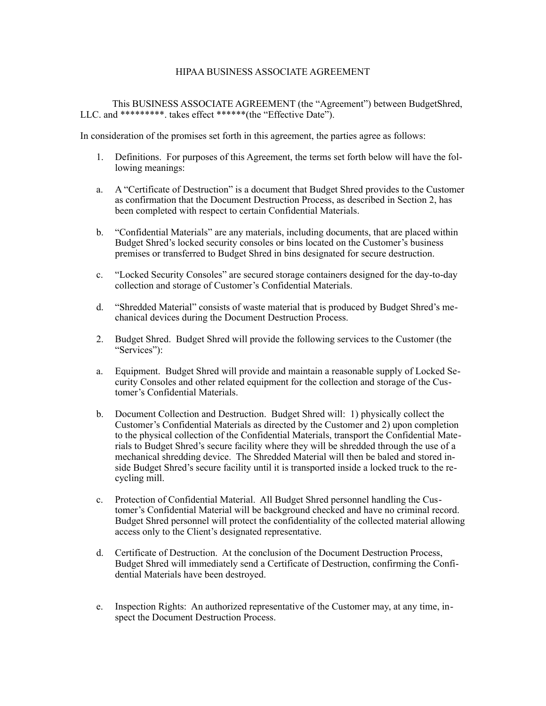## HIPAA BUSINESS ASSOCIATE AGREEMENT

 This BUSINESS ASSOCIATE AGREEMENT (the "Agreement") between BudgetShred, LLC. and \*\*\*\*\*\*\*\*\*. takes effect \*\*\*\*\*\*(the "Effective Date").

In consideration of the promises set forth in this agreement, the parties agree as follows:

- 1. Definitions. For purposes of this Agreement, the terms set forth below will have the following meanings:
- a. A "Certificate of Destruction" is a document that Budget Shred provides to the Customer as confirmation that the Document Destruction Process, as described in Section 2, has been completed with respect to certain Confidential Materials.
- b. "Confidential Materials" are any materials, including documents, that are placed within Budget Shred's locked security consoles or bins located on the Customer's business premises or transferred to Budget Shred in bins designated for secure destruction.
- c. "Locked Security Consoles" are secured storage containers designed for the day-to-day collection and storage of Customer's Confidential Materials.
- d. "Shredded Material" consists of waste material that is produced by Budget Shred's mechanical devices during the Document Destruction Process.
- 2. Budget Shred. Budget Shred will provide the following services to the Customer (the "Services"):
- a. Equipment. Budget Shred will provide and maintain a reasonable supply of Locked Security Consoles and other related equipment for the collection and storage of the Customer's Confidential Materials.
- b. Document Collection and Destruction. Budget Shred will: 1) physically collect the Customer's Confidential Materials as directed by the Customer and 2) upon completion to the physical collection of the Confidential Materials, transport the Confidential Materials to Budget Shred's secure facility where they will be shredded through the use of a mechanical shredding device. The Shredded Material will then be baled and stored inside Budget Shred's secure facility until it is transported inside a locked truck to the recycling mill.
- c. Protection of Confidential Material. All Budget Shred personnel handling the Customer's Confidential Material will be background checked and have no criminal record. Budget Shred personnel will protect the confidentiality of the collected material allowing access only to the Client's designated representative.
- d. Certificate of Destruction. At the conclusion of the Document Destruction Process, Budget Shred will immediately send a Certificate of Destruction, confirming the Confidential Materials have been destroyed.
- e. Inspection Rights: An authorized representative of the Customer may, at any time, inspect the Document Destruction Process.